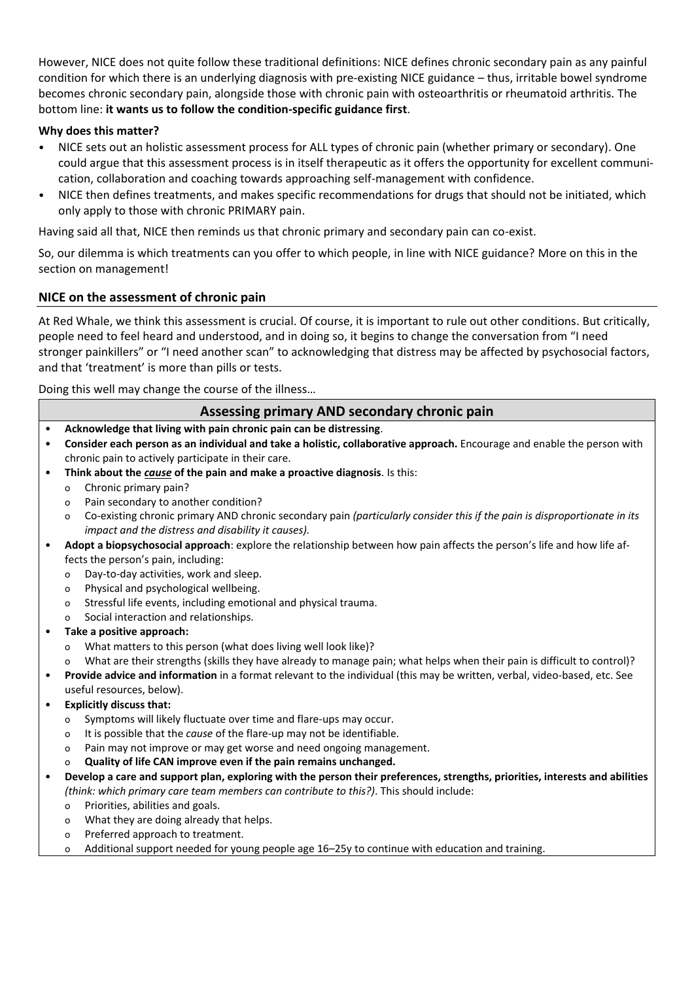However, NICE does not quite follow these traditional definitions: NICE defines chronic secondary pain as any painful condition for which there is an underlying diagnosis with pre-existing NICE guidance – thus, irritable bowel syndrome becomes chronic secondary pain, alongside those with chronic pain with osteoarthritis or rheumatoid arthritis. The bottom line: **it wants us to follow the condition-specific guidance first**.

## **Why does this matter?**

- NICE sets out an holistic assessment process for ALL types of chronic pain (whether primary or secondary). One could argue that this assessment process is in itself therapeutic as it offers the opportunity for excellent communication, collaboration and coaching towards approaching self-management with confidence.
- NICE then defines treatments, and makes specific recommendations for drugs that should not be initiated, which only apply to those with chronic PRIMARY pain.

Having said all that, NICE then reminds us that chronic primary and secondary pain can co-exist.

So, our dilemma is which treatments can you offer to which people, in line with NICE guidance? More on this in the section on management!

## **NICE on the assessment of chronic pain**

At Red Whale, we think this assessment is crucial. Of course, it is important to rule out other conditions. But critically, people need to feel heard and understood, and in doing so, it begins to change the conversation from "I need stronger painkillers" or "I need another scan" to acknowledging that distress may be affected by psychosocial factors, and that 'treatment' is more than pills or tests.

Doing this well may change the course of the illness…

#### **Assessing primary AND secondary chronic pain** • **Acknowledge that living with pain chronic pain can be distressing**. • **Consider each person as an individual and take a holistic, collaborative approach.** Encourage and enable the person with chronic pain to actively participate in their care. • **Think about the** *cause* **of the pain and make a proactive diagnosis**. Is this: o Chronic primary pain? o Pain secondary to another condition? o Co-existing chronic primary AND chronic secondary pain *(particularly consider this if the pain is disproportionate in its impact and the distress and disability it causes).* • **Adopt a biopsychosocial approach**: explore the relationship between how pain affects the person's life and how life affects the person's pain, including: o Day-to-day activities, work and sleep. o Physical and psychological wellbeing. o Stressful life events, including emotional and physical trauma. o Social interaction and relationships. • **Take a positive approach:**  o What matters to this person (what does living well look like)? o What are their strengths (skills they have already to manage pain; what helps when their pain is difficult to control)? • **Provide advice and information** in a format relevant to the individual (this may be written, verbal, video-based, etc. See useful resources, below). • **Explicitly discuss that:** o Symptoms will likely fluctuate over time and flare-ups may occur. o It is possible that the *cause* of the flare-up may not be identifiable. o Pain may not improve or may get worse and need ongoing management. o **Quality of life CAN improve even if the pain remains unchanged.**  • **Develop a care and support plan, exploring with the person their preferences, strengths, priorities, interests and abilities** *(think: which primary care team members can contribute to this?)*. This should include: o Priorities, abilities and goals. o What they are doing already that helps. o Preferred approach to treatment. o Additional support needed for young people age 16–25y to continue with education and training.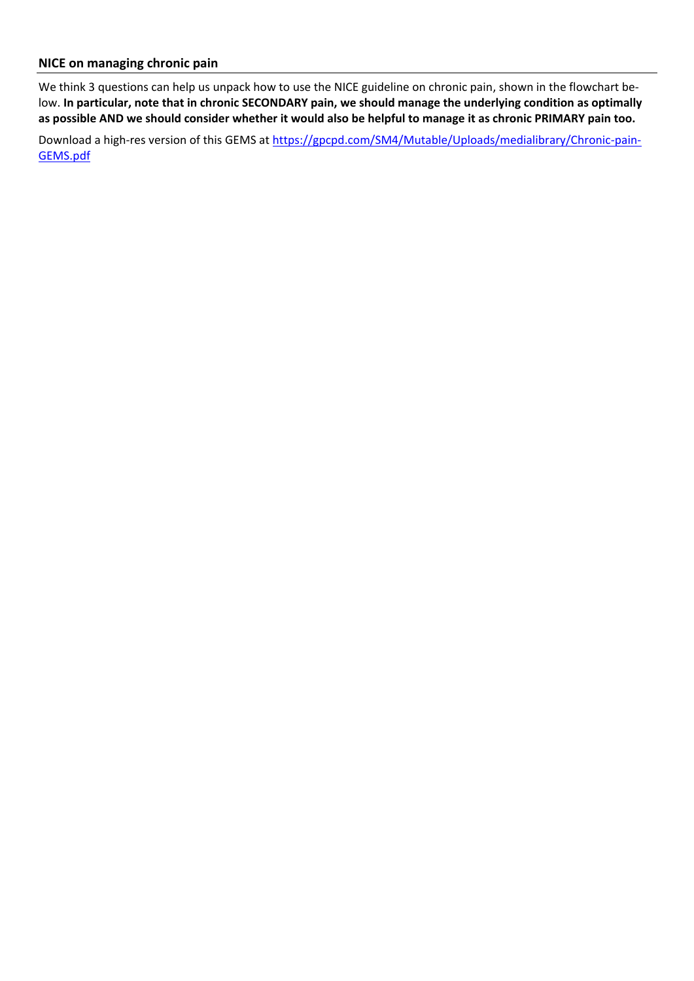## **NICE on managing chronic pain**

We think 3 questions can help us unpack how to use the NICE guideline on chronic pain, shown in the flowchart below. **In particular, note that in chronic SECONDARY pain, we should manage the underlying condition as optimally as possible AND we should consider whether it would also be helpful to manage it as chronic PRIMARY pain too.**

Download a high-res version of this GEMS at [https://gpcpd.com/SM4/Mutable/Uploads/medialibrary/Chronic-pain-](https://gpcpd.com/SM4/Mutable/Uploads/medialibrary/Chronic-pain-GEMS.pdf)[GEMS.pdf](https://gpcpd.com/SM4/Mutable/Uploads/medialibrary/Chronic-pain-GEMS.pdf)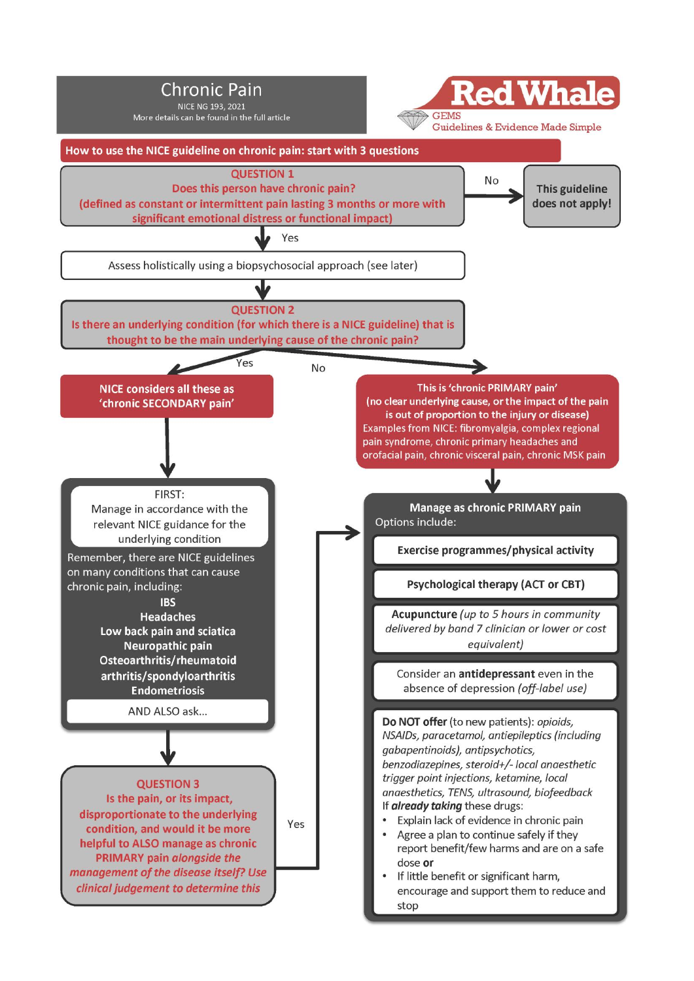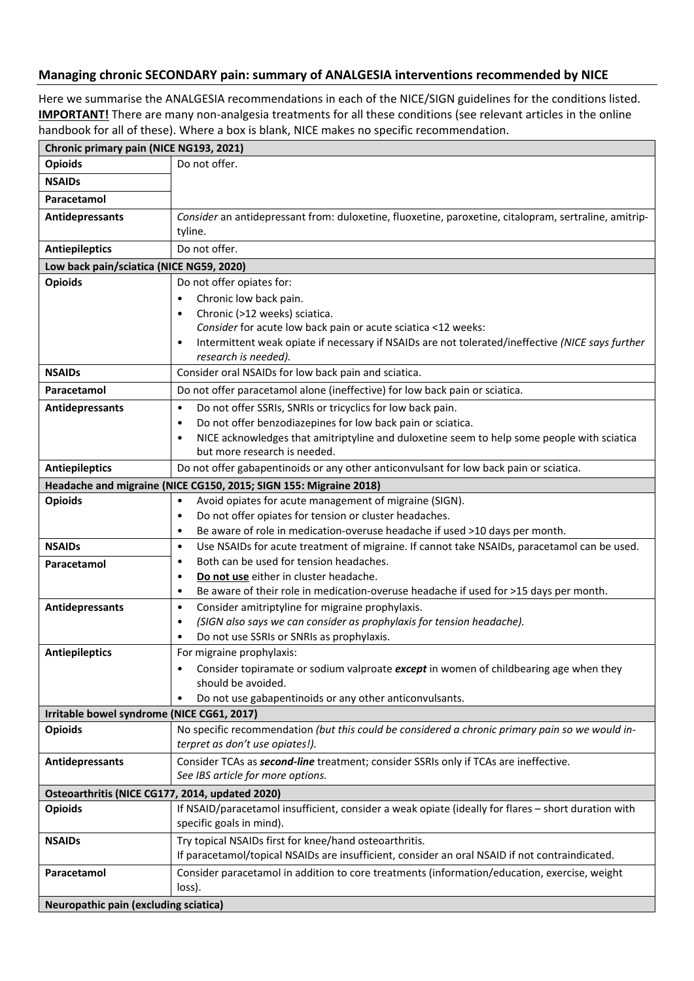#### **Managing chronic SECONDARY pain: summary of ANALGESIA interventions recommended by NICE**

Here we summarise the ANALGESIA recommendations in each of the NICE/SIGN guidelines for the conditions listed. **IMPORTANT!** There are many non-analgesia treatments for all these conditions (see relevant articles in the online handbook for all of these). Where a box is blank, NICE makes no specific recommendation.

| Chronic primary pain (NICE NG193, 2021)         |                                                                                                                                          |  |  |  |
|-------------------------------------------------|------------------------------------------------------------------------------------------------------------------------------------------|--|--|--|
| <b>Opioids</b>                                  | Do not offer.                                                                                                                            |  |  |  |
| <b>NSAIDs</b>                                   |                                                                                                                                          |  |  |  |
| Paracetamol                                     |                                                                                                                                          |  |  |  |
| Antidepressants                                 | Consider an antidepressant from: duloxetine, fluoxetine, paroxetine, citalopram, sertraline, amitrip-                                    |  |  |  |
|                                                 | tyline.                                                                                                                                  |  |  |  |
| <b>Antiepileptics</b>                           | Do not offer.                                                                                                                            |  |  |  |
| Low back pain/sciatica (NICE NG59, 2020)        |                                                                                                                                          |  |  |  |
| <b>Opioids</b>                                  | Do not offer opiates for:                                                                                                                |  |  |  |
|                                                 | Chronic low back pain.<br>٠                                                                                                              |  |  |  |
|                                                 | Chronic (>12 weeks) sciatica.<br>$\bullet$                                                                                               |  |  |  |
|                                                 | Consider for acute low back pain or acute sciatica <12 weeks:                                                                            |  |  |  |
|                                                 | Intermittent weak opiate if necessary if NSAIDs are not tolerated/ineffective (NICE says further<br>$\bullet$                            |  |  |  |
|                                                 | research is needed).                                                                                                                     |  |  |  |
| <b>NSAIDs</b>                                   | Consider oral NSAIDs for low back pain and sciatica.                                                                                     |  |  |  |
| Paracetamol                                     | Do not offer paracetamol alone (ineffective) for low back pain or sciatica.                                                              |  |  |  |
| Antidepressants                                 | Do not offer SSRIs, SNRIs or tricyclics for low back pain.<br>$\bullet$                                                                  |  |  |  |
|                                                 | Do not offer benzodiazepines for low back pain or sciatica.<br>$\bullet$                                                                 |  |  |  |
|                                                 | NICE acknowledges that amitriptyline and duloxetine seem to help some people with sciatica<br>$\bullet$<br>but more research is needed.  |  |  |  |
| <b>Antiepileptics</b>                           | Do not offer gabapentinoids or any other anticonvulsant for low back pain or sciatica.                                                   |  |  |  |
|                                                 |                                                                                                                                          |  |  |  |
| <b>Opioids</b>                                  | Headache and migraine (NICE CG150, 2015; SIGN 155: Migraine 2018)<br>Avoid opiates for acute management of migraine (SIGN).<br>$\bullet$ |  |  |  |
|                                                 | Do not offer opiates for tension or cluster headaches.<br>$\bullet$                                                                      |  |  |  |
|                                                 | Be aware of role in medication-overuse headache if used >10 days per month.<br>٠                                                         |  |  |  |
| <b>NSAIDs</b>                                   | Use NSAIDs for acute treatment of migraine. If cannot take NSAIDs, paracetamol can be used.<br>$\bullet$                                 |  |  |  |
| Paracetamol                                     | Both can be used for tension headaches.<br>$\bullet$                                                                                     |  |  |  |
|                                                 | Do not use either in cluster headache.<br>٠                                                                                              |  |  |  |
|                                                 | Be aware of their role in medication-overuse headache if used for >15 days per month.<br>$\bullet$                                       |  |  |  |
| Antidepressants                                 | Consider amitriptyline for migraine prophylaxis.<br>$\bullet$                                                                            |  |  |  |
|                                                 | (SIGN also says we can consider as prophylaxis for tension headache).<br>٠                                                               |  |  |  |
|                                                 | Do not use SSRIs or SNRIs as prophylaxis.<br>٠                                                                                           |  |  |  |
| <b>Antiepileptics</b>                           | For migraine prophylaxis:                                                                                                                |  |  |  |
|                                                 | Consider topiramate or sodium valproate except in women of childbearing age when they                                                    |  |  |  |
|                                                 | should be avoided.                                                                                                                       |  |  |  |
|                                                 | Do not use gabapentinoids or any other anticonvulsants.<br>٠                                                                             |  |  |  |
| Irritable bowel syndrome (NICE CG61, 2017)      |                                                                                                                                          |  |  |  |
| <b>Opioids</b>                                  | No specific recommendation (but this could be considered a chronic primary pain so we would in-<br>terpret as don't use opiates!).       |  |  |  |
|                                                 |                                                                                                                                          |  |  |  |
| Antidepressants                                 | Consider TCAs as second-line treatment; consider SSRIs only if TCAs are ineffective.<br>See IBS article for more options.                |  |  |  |
| Osteoarthritis (NICE CG177, 2014, updated 2020) |                                                                                                                                          |  |  |  |
| <b>Opioids</b>                                  | If NSAID/paracetamol insufficient, consider a weak opiate (ideally for flares - short duration with                                      |  |  |  |
|                                                 | specific goals in mind).                                                                                                                 |  |  |  |
| <b>NSAIDs</b>                                   | Try topical NSAIDs first for knee/hand osteoarthritis.                                                                                   |  |  |  |
|                                                 | If paracetamol/topical NSAIDs are insufficient, consider an oral NSAID if not contraindicated.                                           |  |  |  |
| Paracetamol                                     | Consider paracetamol in addition to core treatments (information/education, exercise, weight                                             |  |  |  |
|                                                 | loss).                                                                                                                                   |  |  |  |
| Neuropathic pain (excluding sciatica)           |                                                                                                                                          |  |  |  |
|                                                 |                                                                                                                                          |  |  |  |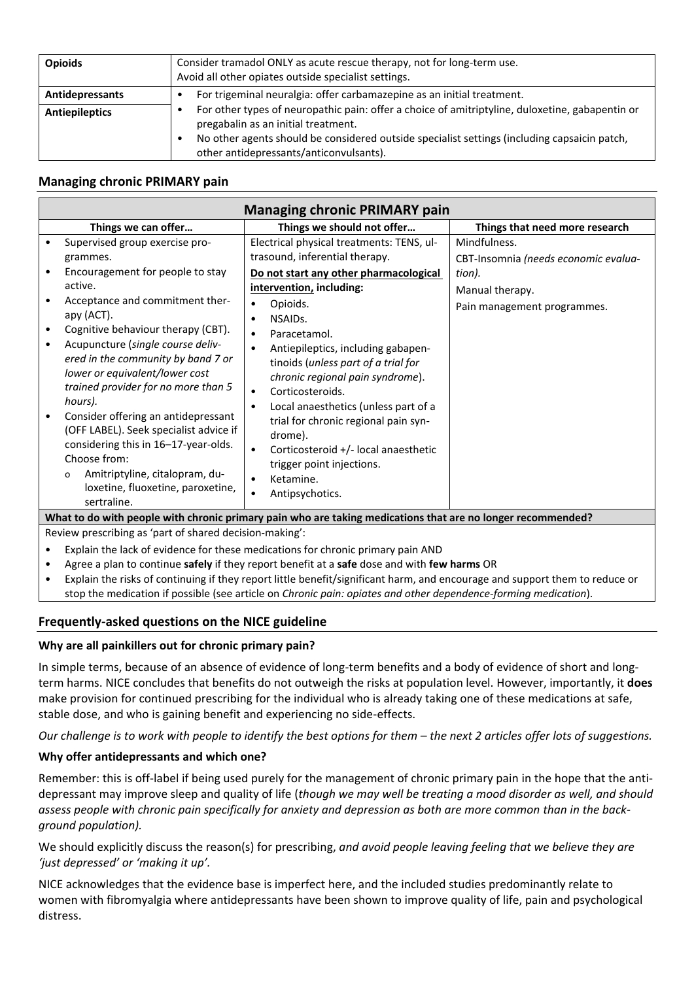| <b>Opioids</b>         | Consider tramadol ONLY as acute rescue therapy, not for long-term use.<br>Avoid all other opiates outside specialist settings.                                                                                                                                                    |  |
|------------------------|-----------------------------------------------------------------------------------------------------------------------------------------------------------------------------------------------------------------------------------------------------------------------------------|--|
| <b>Antidepressants</b> | For trigeminal neuralgia: offer carbamazepine as an initial treatment.                                                                                                                                                                                                            |  |
| Antiepileptics         | For other types of neuropathic pain: offer a choice of amitriptyline, duloxetine, gabapentin or<br>pregabalin as an initial treatment.<br>No other agents should be considered outside specialist settings (including capsaicin patch,<br>other antidepressants/anticonvulsants). |  |

# **Managing chronic PRIMARY pain**

| <b>Managing chronic PRIMARY pain</b>                                                                        |                                                                                                                                                                                                                                                                                                                                                                                                                                                                          |                                                                                                                                                                                                                                                                                                                                                                                                                                                                                                                                |                                                                                                                  |  |
|-------------------------------------------------------------------------------------------------------------|--------------------------------------------------------------------------------------------------------------------------------------------------------------------------------------------------------------------------------------------------------------------------------------------------------------------------------------------------------------------------------------------------------------------------------------------------------------------------|--------------------------------------------------------------------------------------------------------------------------------------------------------------------------------------------------------------------------------------------------------------------------------------------------------------------------------------------------------------------------------------------------------------------------------------------------------------------------------------------------------------------------------|------------------------------------------------------------------------------------------------------------------|--|
|                                                                                                             | Things we can offer                                                                                                                                                                                                                                                                                                                                                                                                                                                      | Things we should not offer                                                                                                                                                                                                                                                                                                                                                                                                                                                                                                     | Things that need more research                                                                                   |  |
|                                                                                                             | Supervised group exercise pro-<br>grammes.<br>Encouragement for people to stay<br>active.<br>Acceptance and commitment ther-<br>apy (ACT).<br>Cognitive behaviour therapy (CBT).<br>Acupuncture (single course deliv-<br>ered in the community by band 7 or<br>lower or equivalent/lower cost<br>trained provider for no more than 5<br>hours).<br>Consider offering an antidepressant<br>(OFF LABEL). Seek specialist advice if<br>considering this in 16-17-year-olds. | Electrical physical treatments: TENS, ul-<br>trasound, inferential therapy.<br>Do not start any other pharmacological<br>intervention, including:<br>Opioids.<br>٠<br>NSAIDs.<br>٠<br>Paracetamol.<br>$\bullet$<br>Antiepileptics, including gabapen-<br>$\bullet$<br>tinoids (unless part of a trial for<br>chronic regional pain syndrome).<br>Corticosteroids.<br>$\bullet$<br>Local anaesthetics (unless part of a<br>$\bullet$<br>trial for chronic regional pain syn-<br>drome).<br>Corticosteroid +/- local anaesthetic | Mindfulness.<br>CBT-Insomnia (needs economic evalua-<br>tion).<br>Manual therapy.<br>Pain management programmes. |  |
|                                                                                                             | Choose from:<br>Amitriptyline, citalopram, du-<br>$\circ$<br>loxetine, fluoxetine, paroxetine,<br>sertraline.                                                                                                                                                                                                                                                                                                                                                            | trigger point injections.<br>Ketamine.<br>$\bullet$<br>Antipsychotics.<br>$\bullet$                                                                                                                                                                                                                                                                                                                                                                                                                                            |                                                                                                                  |  |
| What to do with people with chronic primary pain who are taking medications that are no longer recommended? |                                                                                                                                                                                                                                                                                                                                                                                                                                                                          |                                                                                                                                                                                                                                                                                                                                                                                                                                                                                                                                |                                                                                                                  |  |
| Review prescribing as 'part of shared decision-making':                                                     |                                                                                                                                                                                                                                                                                                                                                                                                                                                                          |                                                                                                                                                                                                                                                                                                                                                                                                                                                                                                                                |                                                                                                                  |  |

• Explain the lack of evidence for these medications for chronic primary pain AND

- Agree a plan to continue **safely** if they report benefit at a **safe** dose and with **few harms** OR
- Explain the risks of continuing if they report little benefit/significant harm, and encourage and support them to reduce or stop the medication if possible (see article on *Chronic pain: opiates and other dependence-forming medication*).

## **Frequently-asked questions on the NICE guideline**

## **Why are all painkillers out for chronic primary pain?**

In simple terms, because of an absence of evidence of long-term benefits and a body of evidence of short and longterm harms. NICE concludes that benefits do not outweigh the risks at population level. However, importantly, it **does** make provision for continued prescribing for the individual who is already taking one of these medications at safe, stable dose, and who is gaining benefit and experiencing no side-effects.

*Our challenge is to work with people to identify the best options for them – the next 2 articles offer lots of suggestions.* 

## **Why offer antidepressants and which one?**

Remember: this is off-label if being used purely for the management of chronic primary pain in the hope that the antidepressant may improve sleep and quality of life (*though we may well be treating a mood disorder as well, and should assess people with chronic pain specifically for anxiety and depression as both are more common than in the background population).*

We should explicitly discuss the reason(s) for prescribing, *and avoid people leaving feeling that we believe they are 'just depressed' or 'making it up'.*

NICE acknowledges that the evidence base is imperfect here, and the included studies predominantly relate to women with fibromyalgia where antidepressants have been shown to improve quality of life, pain and psychological distress.